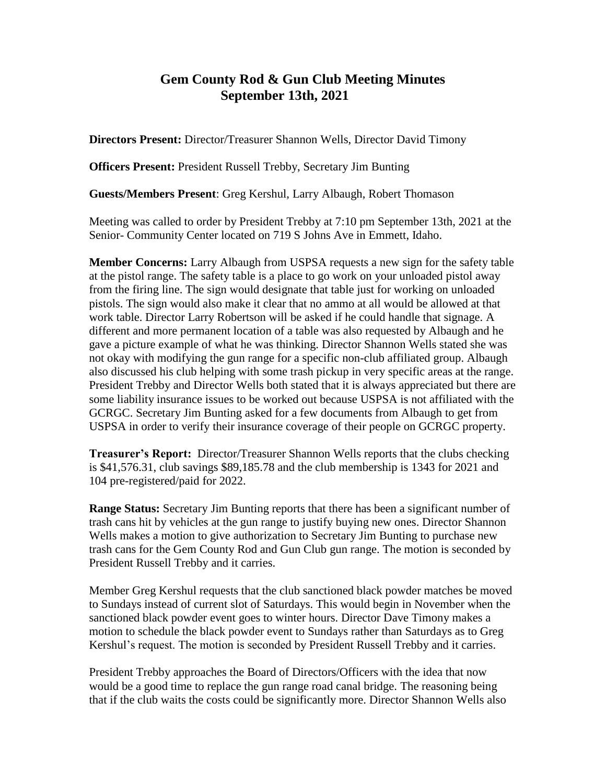## **Gem County Rod & Gun Club Meeting Minutes September 13th, 2021**

**Directors Present:** Director/Treasurer Shannon Wells, Director David Timony

**Officers Present:** President Russell Trebby, Secretary Jim Bunting

**Guests/Members Present**: Greg Kershul, Larry Albaugh, Robert Thomason

Meeting was called to order by President Trebby at 7:10 pm September 13th, 2021 at the Senior- Community Center located on 719 S Johns Ave in Emmett, Idaho.

**Member Concerns:** Larry Albaugh from USPSA requests a new sign for the safety table at the pistol range. The safety table is a place to go work on your unloaded pistol away from the firing line. The sign would designate that table just for working on unloaded pistols. The sign would also make it clear that no ammo at all would be allowed at that work table. Director Larry Robertson will be asked if he could handle that signage. A different and more permanent location of a table was also requested by Albaugh and he gave a picture example of what he was thinking. Director Shannon Wells stated she was not okay with modifying the gun range for a specific non-club affiliated group. Albaugh also discussed his club helping with some trash pickup in very specific areas at the range. President Trebby and Director Wells both stated that it is always appreciated but there are some liability insurance issues to be worked out because USPSA is not affiliated with the GCRGC. Secretary Jim Bunting asked for a few documents from Albaugh to get from USPSA in order to verify their insurance coverage of their people on GCRGC property.

**Treasurer's Report:** Director/Treasurer Shannon Wells reports that the clubs checking is \$41,576.31, club savings \$89,185.78 and the club membership is 1343 for 2021 and 104 pre-registered/paid for 2022.

**Range Status:** Secretary Jim Bunting reports that there has been a significant number of trash cans hit by vehicles at the gun range to justify buying new ones. Director Shannon Wells makes a motion to give authorization to Secretary Jim Bunting to purchase new trash cans for the Gem County Rod and Gun Club gun range. The motion is seconded by President Russell Trebby and it carries.

Member Greg Kershul requests that the club sanctioned black powder matches be moved to Sundays instead of current slot of Saturdays. This would begin in November when the sanctioned black powder event goes to winter hours. Director Dave Timony makes a motion to schedule the black powder event to Sundays rather than Saturdays as to Greg Kershul's request. The motion is seconded by President Russell Trebby and it carries.

President Trebby approaches the Board of Directors/Officers with the idea that now would be a good time to replace the gun range road canal bridge. The reasoning being that if the club waits the costs could be significantly more. Director Shannon Wells also